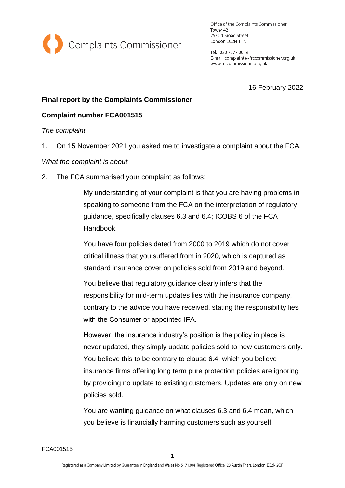

Office of the Complaints Commissioner Tower 42 25 Old Broad Street London EC2N 1HN

Tel: 020 7877 0019 E-mail: complaints@frccommissioner.org.uk www.frccommissioner.org.uk

16 February 2022

# **Final report by the Complaints Commissioner**

# **Complaint number FCA001515**

*The complaint*

1. On 15 November 2021 you asked me to investigate a complaint about the FCA.

*What the complaint is about*

2. The FCA summarised your complaint as follows:

My understanding of your complaint is that you are having problems in speaking to someone from the FCA on the interpretation of regulatory guidance, specifically clauses 6.3 and 6.4; ICOBS 6 of the FCA Handbook.

You have four policies dated from 2000 to 2019 which do not cover critical illness that you suffered from in 2020, which is captured as standard insurance cover on policies sold from 2019 and beyond.

You believe that regulatory guidance clearly infers that the responsibility for mid-term updates lies with the insurance company, contrary to the advice you have received, stating the responsibility lies with the Consumer or appointed IFA.

However, the insurance industry's position is the policy in place is never updated, they simply update policies sold to new customers only. You believe this to be contrary to clause 6.4, which you believe insurance firms offering long term pure protection policies are ignoring by providing no update to existing customers. Updates are only on new policies sold.

You are wanting guidance on what clauses 6.3 and 6.4 mean, which you believe is financially harming customers such as yourself.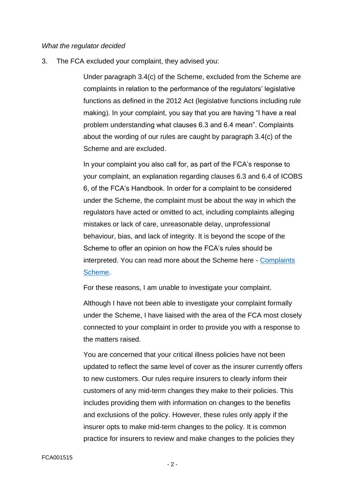#### *What the regulator decided*

3. The FCA excluded your complaint, they advised you:

Under paragraph 3.4(c) of the Scheme, excluded from the Scheme are complaints in relation to the performance of the regulators' legislative functions as defined in the 2012 Act (legislative functions including rule making). In your complaint, you say that you are having "I have a real problem understanding what clauses 6.3 and 6.4 mean". Complaints about the wording of our rules are caught by paragraph 3.4(c) of the Scheme and are excluded.

In your complaint you also call for, as part of the FCA's response to your complaint, an explanation regarding clauses 6.3 and 6.4 of ICOBS 6, of the FCA's Handbook. In order for a complaint to be considered under the Scheme, the complaint must be about the way in which the regulators have acted or omitted to act, including complaints alleging mistakes or lack of care, unreasonable delay, unprofessional behaviour, bias, and lack of integrity. It is beyond the scope of the Scheme to offer an opinion on how the FCA's rules should be interpreted. You can read more about the Scheme here - [Complaints](https://www.fca.org.uk/publication/corporate/complaints-scheme.pdf)  [Scheme.](https://www.fca.org.uk/publication/corporate/complaints-scheme.pdf)

For these reasons, I am unable to investigate your complaint.

Although I have not been able to investigate your complaint formally under the Scheme, I have liaised with the area of the FCA most closely connected to your complaint in order to provide you with a response to the matters raised.

You are concerned that your critical illness policies have not been updated to reflect the same level of cover as the insurer currently offers to new customers. Our rules require insurers to clearly inform their customers of any mid-term changes they make to their policies. This includes providing them with information on changes to the benefits and exclusions of the policy. However, these rules only apply if the insurer opts to make mid-term changes to the policy. It is common practice for insurers to review and make changes to the policies they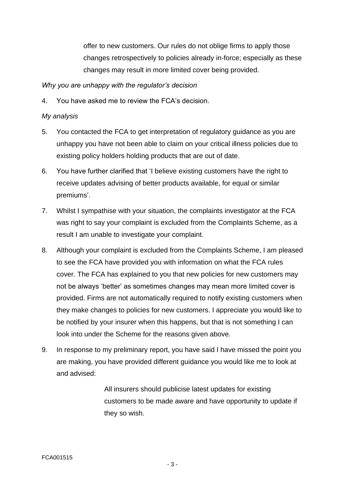offer to new customers. Our rules do not oblige firms to apply those changes retrospectively to policies already in-force; especially as these changes may result in more limited cover being provided.

### *Why you are unhappy with the regulator's decision*

4. You have asked me to review the FCA's decision.

#### *My analysis*

- 5. You contacted the FCA to get interpretation of regulatory guidance as you are unhappy you have not been able to claim on your critical illness policies due to existing policy holders holding products that are out of date.
- 6. You have further clarified that 'I believe existing customers have the right to receive updates advising of better products available, for equal or similar premiums'.
- 7. Whilst I sympathise with your situation, the complaints investigator at the FCA was right to say your complaint is excluded from the Complaints Scheme, as a result I am unable to investigate your complaint.
- 8. Although your complaint is excluded from the Complaints Scheme, I am pleased to see the FCA have provided you with information on what the FCA rules cover. The FCA has explained to you that new policies for new customers may not be always 'better' as sometimes changes may mean more limited cover is provided. Firms are not automatically required to notify existing customers when they make changes to policies for new customers. I appreciate you would like to be notified by your insurer when this happens, but that is not something I can look into under the Scheme for the reasons given above.
- 9. In response to my preliminary report, you have said I have missed the point you are making, you have provided different guidance you would like me to look at and advised:

All insurers should publicise latest updates for existing customers to be made aware and have opportunity to update if they so wish.